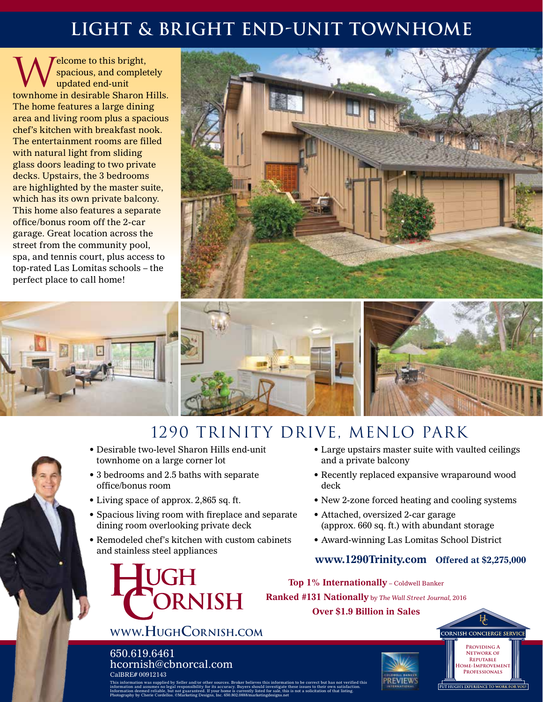# **light & Bright end-unit townhome**

Welcome to this bright,<br>spacious, and complet<br>townhome in decimable Sharen I spacious, and completely updated end-unit townhome in desirable Sharon Hills. The home features a large dining area and living room plus a spacious chef's kitchen with breakfast nook. The entertainment rooms are filled with natural light from sliding glass doors leading to two private decks. Upstairs, the 3 bedrooms are highlighted by the master suite, which has its own private balcony. This home also features a separate office/bonus room off the 2-car garage. Great location across the street from the community pool, spa, and tennis court, plus access to top-rated Las Lomitas schools – the perfect place to call home!





## 1290 trinity drive, Menlo Park

- Desirable two-level Sharon Hills end-unit townhome on a large corner lot
- 3 bedrooms and 2.5 baths with separate office/bonus room
- Living space of approx. 2,865 sq. ft.
- Spacious living room with fireplace and separate dining room overlooking private deck
- Remodeled chef's kitchen with custom cabinets and stainless steel appliances

**www.HughCornish.com**

**DRNISH** 

hcornish@cbnorcal.com

UGH

650.619.6461

- Large upstairs master suite with vaulted ceilings and a private balcony
- Recently replaced expansive wraparound wood deck
- New 2-zone forced heating and cooling systems
- Attached, oversized 2-car garage (approx. 660 sq. ft.) with abundant storage
- Award-winning Las Lomitas School District

#### **www.1290Trinity.com Offered at \$2,275,000**

**Top 1% Internationally** – Coldwell Banker **Ranked #131 Nationally** by *The Wall Street Journal,* <sup>2016</sup>

**Over \$1.9 Billion in Sales**







This information was supplied by Seller and/or other sources. Broker believes this information to be correct but has not verified this information and assumes no legal responsibility for its accuracy. Buyers should investigate these issues to their own satisfaction. Information deemed reliable, but not guaranteed. If your home is currently listed for sale, this is not a solicitation of that listing. Photography by Cherie Cordellos. ©Marketing Designs, Inc. 650.802.0888/marketingdesigns.net CalBRE# 00912143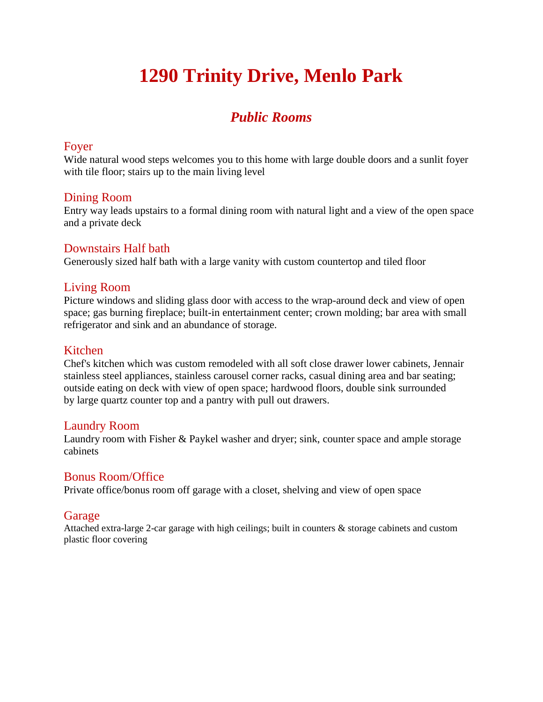# **1290 Trinity Drive, Menlo Park**

### *Public Rooms*

#### Foyer

Wide natural wood steps welcomes you to this home with large double doors and a sunlit foyer with tile floor; stairs up to the main living level

#### Dining Room

Entry way leads upstairs to a formal dining room with natural light and a view of the open space and a private deck

#### Downstairs Half bath

Generously sized half bath with a large vanity with custom countertop and tiled floor

#### Living Room

Picture windows and sliding glass door with access to the wrap-around deck and view of open space; gas burning fireplace; built-in entertainment center; crown molding; bar area with small refrigerator and sink and an abundance of storage.

#### Kitchen

Chef's kitchen which was custom remodeled with all soft close drawer lower cabinets, Jennair stainless steel appliances, stainless carousel corner racks, casual dining area and bar seating; outside eating on deck with view of open space; hardwood floors, double sink surrounded by large quartz counter top and a pantry with pull out drawers.

#### Laundry Room

Laundry room with Fisher & Paykel washer and dryer; sink, counter space and ample storage cabinets

#### Bonus Room/Office

Private office/bonus room off garage with a closet, shelving and view of open space

#### Garage

Attached extra-large 2-car garage with high ceilings; built in counters & storage cabinets and custom plastic floor covering